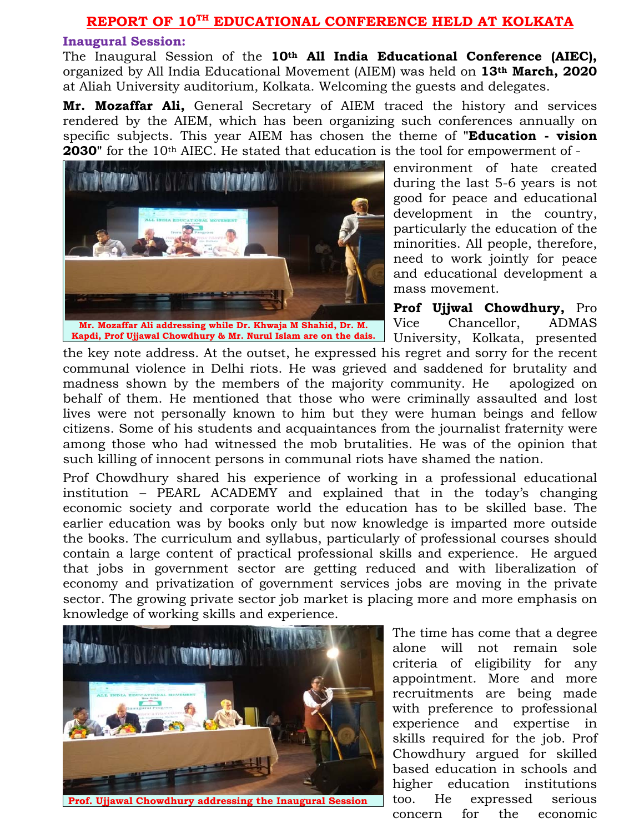#### **REPORT OF 10TH EDUCATIONAL CONFERENCE HELD AT KOLKATA**

#### **Inaugural Session:**

The Inaugural Session of the **10th All India Educational Conference (AIEC),**  organized by All India Educational Movement (AIEM) was held on **13th March, 2020** at Aliah University auditorium, Kolkata. Welcoming the guests and delegates.

**Mr. Mozaffar Ali,** General Secretary of AIEM traced the history and services rendered by the AIEM, which has been organizing such conferences annually on specific subjects. This year AIEM has chosen the theme of **"Education - vision 2030"** for the 10<sup>th</sup> AIEC. He stated that education is the tool for empowerment of -



environment of hate created during the last 5-6 years is not good for peace and educational development in the country, particularly the education of the minorities. All people, therefore, need to work jointly for peace and educational development a mass movement.

**Prof Ujjwal Chowdhury,** Pro Vice Chancellor, ADMAS University, Kolkata, presented

the key note address. At the outset, he expressed his regret and sorry for the recent communal violence in Delhi riots. He was grieved and saddened for brutality and madness shown by the members of the majority community. He apologized on behalf of them. He mentioned that those who were criminally assaulted and lost lives were not personally known to him but they were human beings and fellow citizens. Some of his students and acquaintances from the journalist fraternity were among those who had witnessed the mob brutalities. He was of the opinion that such killing of innocent persons in communal riots have shamed the nation.

Prof Chowdhury shared his experience of working in a professional educational institution – PEARL ACADEMY and explained that in the today's changing economic society and corporate world the education has to be skilled base. The earlier education was by books only but now knowledge is imparted more outside the books. The curriculum and syllabus, particularly of professional courses should contain a large content of practical professional skills and experience. He argued that jobs in government sector are getting reduced and with liberalization of economy and privatization of government services jobs are moving in the private sector. The growing private sector job market is placing more and more emphasis on knowledge of working skills and experience.



**Prof. Ujjawal Chowdhury addressing the Inaugural Session** 

The time has come that a degree alone will not remain sole criteria of eligibility for any appointment. More and more recruitments are being made with preference to professional experience and expertise in skills required for the job. Prof Chowdhury argued for skilled based education in schools and higher education institutions too. He expressed serious concern for the economic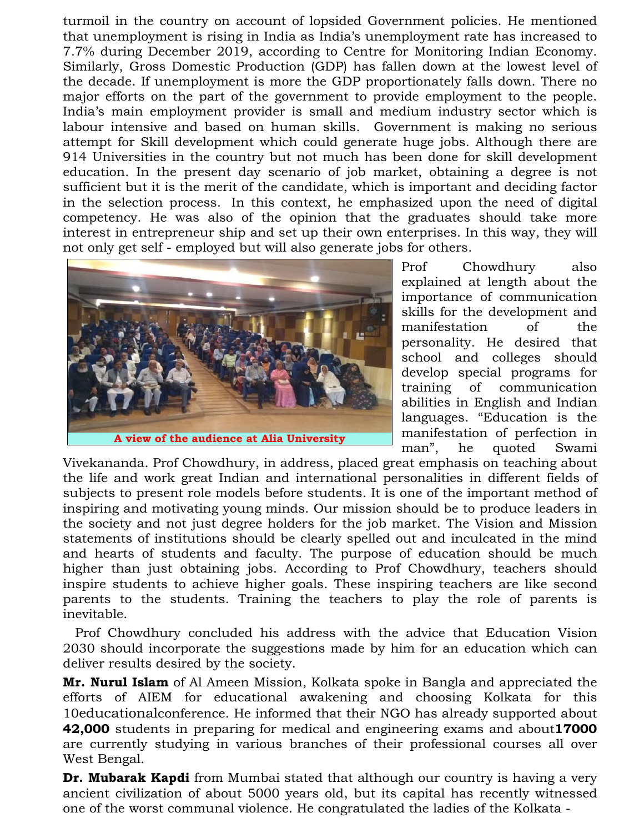turmoil in the country on account of lopsided Government policies. He mentioned that unemployment is rising in India as India's unemployment rate has increased to 7.7% during December 2019, according to Centre for Monitoring Indian Economy. Similarly, Gross Domestic Production (GDP) has fallen down at the lowest level of the decade. If unemployment is more the GDP proportionately falls down. There no major efforts on the part of the government to provide employment to the people. India's main employment provider is small and medium industry sector which is labour intensive and based on human skills. Government is making no serious attempt for Skill development which could generate huge jobs. Although there are 914 Universities in the country but not much has been done for skill development education. In the present day scenario of job market, obtaining a degree is not sufficient but it is the merit of the candidate, which is important and deciding factor in the selection process. In this context, he emphasized upon the need of digital competency. He was also of the opinion that the graduates should take more interest in entrepreneur ship and set up their own enterprises. In this way, they will not only get self - employed but will also generate jobs for others.



Prof Chowdhury also explained at length about the importance of communication skills for the development and manifestation of the personality. He desired that school and colleges should develop special programs for training of communication abilities in English and Indian languages. "Education is the manifestation of perfection in man", he quoted Swami

Vivekananda. Prof Chowdhury, in address, placed great emphasis on teaching about the life and work great Indian and international personalities in different fields of subjects to present role models before students. It is one of the important method of inspiring and motivating young minds. Our mission should be to produce leaders in the society and not just degree holders for the job market. The Vision and Mission statements of institutions should be clearly spelled out and inculcated in the mind and hearts of students and faculty. The purpose of education should be much higher than just obtaining jobs. According to Prof Chowdhury, teachers should inspire students to achieve higher goals. These inspiring teachers are like second parents to the students. Training the teachers to play the role of parents is inevitable.

 Prof Chowdhury concluded his address with the advice that Education Vision 2030 should incorporate the suggestions made by him for an education which can deliver results desired by the society.

**Mr. Nurul Islam** of Al Ameen Mission, Kolkata spoke in Bangla and appreciated the efforts of AIEM for educational awakening and choosing Kolkata for this 10educationalconference. He informed that their NGO has already supported about **42,000** students in preparing for medical and engineering exams and about**17000** are currently studying in various branches of their professional courses all over West Bengal.

**Dr. Mubarak Kapdi** from Mumbai stated that although our country is having a very ancient civilization of about 5000 years old, but its capital has recently witnessed one of the worst communal violence. He congratulated the ladies of the Kolkata -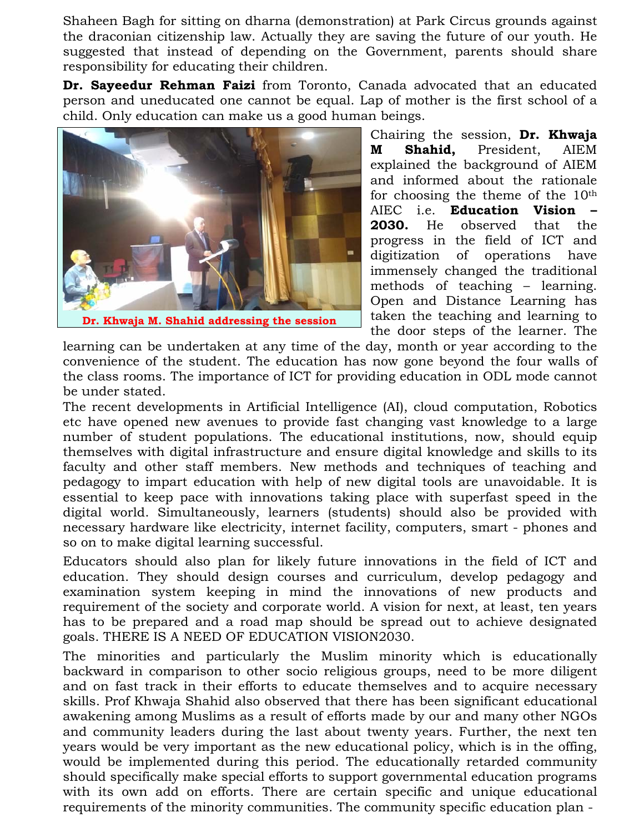Shaheen Bagh for sitting on dharna (demonstration) at Park Circus grounds against the draconian citizenship law. Actually they are saving the future of our youth. He suggested that instead of depending on the Government, parents should share responsibility for educating their children.

**Dr. Sayeedur Rehman Faizi** from Toronto, Canada advocated that an educated person and uneducated one cannot be equal. Lap of mother is the first school of a child. Only education can make us a good human beings.



Chairing the session, **Dr. Khwaja M Shahid,** President, AIEM explained the background of AIEM and informed about the rationale for choosing the theme of the  $10<sup>th</sup>$ AIEC i.e. **Education Vision 2030.** He observed that the progress in the field of ICT and digitization of operations have immensely changed the traditional methods of teaching – learning. Open and Distance Learning has taken the teaching and learning to the door steps of the learner. The

learning can be undertaken at any time of the day, month or year according to the convenience of the student. The education has now gone beyond the four walls of the class rooms. The importance of ICT for providing education in ODL mode cannot be under stated.

The recent developments in Artificial Intelligence (AI), cloud computation, Robotics etc have opened new avenues to provide fast changing vast knowledge to a large number of student populations. The educational institutions, now, should equip themselves with digital infrastructure and ensure digital knowledge and skills to its faculty and other staff members. New methods and techniques of teaching and pedagogy to impart education with help of new digital tools are unavoidable. It is essential to keep pace with innovations taking place with superfast speed in the digital world. Simultaneously, learners (students) should also be provided with necessary hardware like electricity, internet facility, computers, smart - phones and so on to make digital learning successful.

Educators should also plan for likely future innovations in the field of ICT and education. They should design courses and curriculum, develop pedagogy and examination system keeping in mind the innovations of new products and requirement of the society and corporate world. A vision for next, at least, ten years has to be prepared and a road map should be spread out to achieve designated goals. THERE IS A NEED OF EDUCATION VISION2030.

The minorities and particularly the Muslim minority which is educationally backward in comparison to other socio religious groups, need to be more diligent and on fast track in their efforts to educate themselves and to acquire necessary skills. Prof Khwaja Shahid also observed that there has been significant educational awakening among Muslims as a result of efforts made by our and many other NGOs and community leaders during the last about twenty years. Further, the next ten years would be very important as the new educational policy, which is in the offing, would be implemented during this period. The educationally retarded community should specifically make special efforts to support governmental education programs with its own add on efforts. There are certain specific and unique educational requirements of the minority communities. The community specific education plan -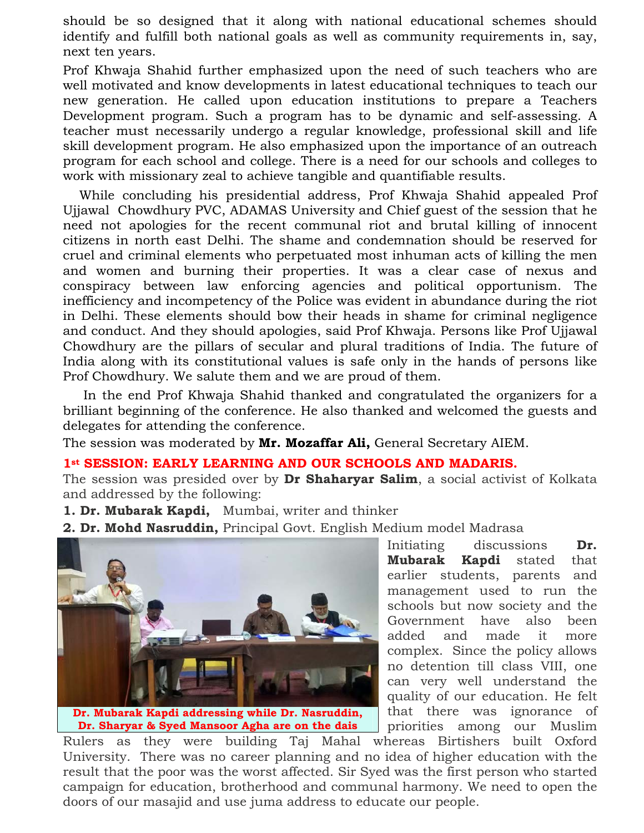should be so designed that it along with national educational schemes should identify and fulfill both national goals as well as community requirements in, say, next ten years.

Prof Khwaja Shahid further emphasized upon the need of such teachers who are well motivated and know developments in latest educational techniques to teach our new generation. He called upon education institutions to prepare a Teachers Development program. Such a program has to be dynamic and self-assessing. A teacher must necessarily undergo a regular knowledge, professional skill and life skill development program. He also emphasized upon the importance of an outreach program for each school and college. There is a need for our schools and colleges to work with missionary zeal to achieve tangible and quantifiable results.

 While concluding his presidential address, Prof Khwaja Shahid appealed Prof Ujjawal Chowdhury PVC, ADAMAS University and Chief guest of the session that he need not apologies for the recent communal riot and brutal killing of innocent citizens in north east Delhi. The shame and condemnation should be reserved for cruel and criminal elements who perpetuated most inhuman acts of killing the men and women and burning their properties. It was a clear case of nexus and conspiracy between law enforcing agencies and political opportunism. The inefficiency and incompetency of the Police was evident in abundance during the riot in Delhi. These elements should bow their heads in shame for criminal negligence and conduct. And they should apologies, said Prof Khwaja. Persons like Prof Ujjawal Chowdhury are the pillars of secular and plural traditions of India. The future of India along with its constitutional values is safe only in the hands of persons like Prof Chowdhury. We salute them and we are proud of them.

 In the end Prof Khwaja Shahid thanked and congratulated the organizers for a brilliant beginning of the conference. He also thanked and welcomed the guests and delegates for attending the conference.

The session was moderated by **Mr. Mozaffar Ali,** General Secretary AIEM.

### 1<sup>st</sup> SESSION: EARLY LEARNING AND OUR SCHOOLS AND MADARIS.

The session was presided over by **Dr Shaharyar Salim**, a social activist of Kolkata and addressed by the following:

- **1. Dr. Mubarak Kapdi,** Mumbai, writer and thinker
- **2. Dr. Mohd Nasruddin,** Principal Govt. English Medium model Madrasa



**Dr. Sharyar & Syed Mansoor Agha are on the dais**

Initiating discussions **Dr. Mubarak Kapdi** stated that earlier students, parents and management used to run the schools but now society and the Government have also been added and made it more complex. Since the policy allows no detention till class VIII, one can very well understand the quality of our education. He felt that there was ignorance of priorities among our Muslim

Rulers as they were building Taj Mahal whereas Birtishers built Oxford University. There was no career planning and no idea of higher education with the result that the poor was the worst affected. Sir Syed was the first person who started campaign for education, brotherhood and communal harmony. We need to open the doors of our masajid and use juma address to educate our people.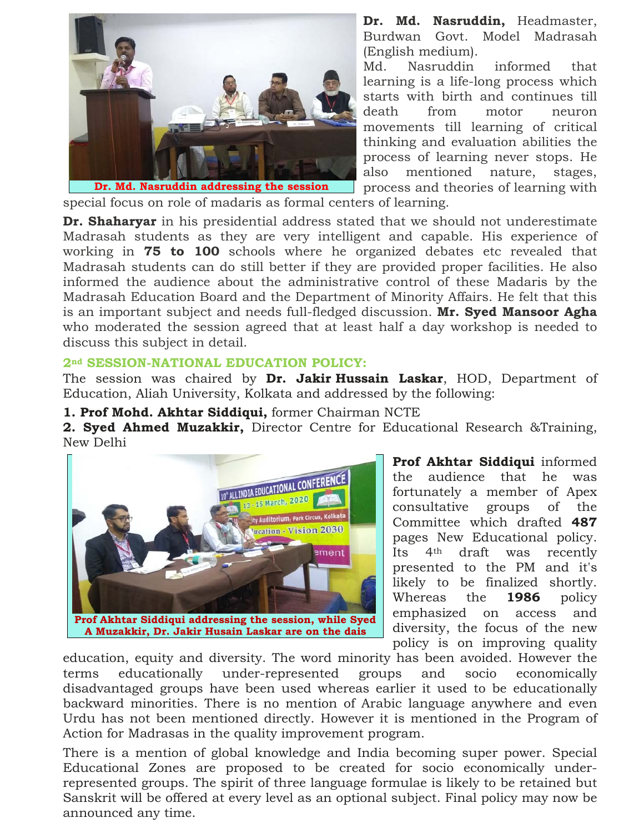

**Dr. Md. Nasruddin,** Headmaster, Burdwan Govt. Model Madrasah (English medium).

Md. Nasruddin informed that learning is a life-long process which starts with birth and continues till death from motor neuron movements till learning of critical thinking and evaluation abilities the process of learning never stops. He also mentioned nature, stages, process and theories of learning with

special focus on role of madaris as formal centers of learning.

**Dr. Shaharyar** in his presidential address stated that we should not underestimate Madrasah students as they are very intelligent and capable. His experience of working in **75 to 100** schools where he organized debates etc revealed that Madrasah students can do still better if they are provided proper facilities. He also informed the audience about the administrative control of these Madaris by the Madrasah Education Board and the Department of Minority Affairs. He felt that this is an important subject and needs full-fledged discussion. **Mr. Syed Mansoor Agha** who moderated the session agreed that at least half a day workshop is needed to discuss this subject in detail.

### **2nd SESSION-NATIONAL EDUCATION POLICY:**

The session was chaired by **Dr. Jakir Hussain Laskar**, HOD, Department of Education, Aliah University, Kolkata and addressed by the following:

### **1. Prof Mohd. Akhtar Siddiqui,** former Chairman NCTE

**2. Syed Ahmed Muzakkir,** Director Centre for Educational Research &Training, New Delhi



**Prof Akhtar Siddiqui** informed the audience that he was fortunately a member of Apex consultative groups of the Committee which drafted **487** pages New Educational policy. Its 4th draft was recently presented to the PM and it's likely to be finalized shortly. Whereas the **1986** policy emphasized on access and diversity, the focus of the new policy is on improving quality

education, equity and diversity. The word minority has been avoided. However the terms educationally under-represented groups and socio economically disadvantaged groups have been used whereas earlier it used to be educationally backward minorities. There is no mention of Arabic language anywhere and even Urdu has not been mentioned directly. However it is mentioned in the Program of Action for Madrasas in the quality improvement program.

There is a mention of global knowledge and India becoming super power. Special Educational Zones are proposed to be created for socio economically underrepresented groups. The spirit of three language formulae is likely to be retained but Sanskrit will be offered at every level as an optional subject. Final policy may now be announced any time.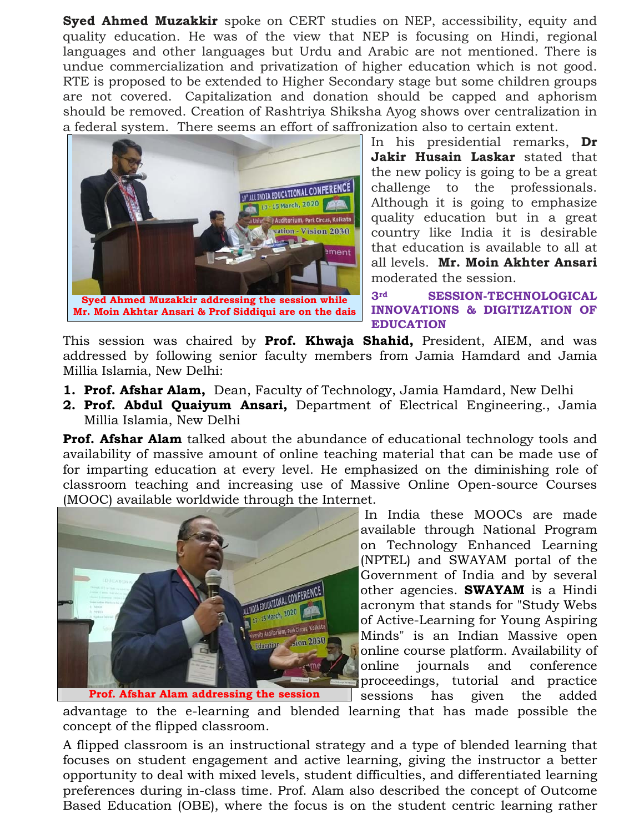**Syed Ahmed Muzakkir** spoke on CERT studies on NEP, accessibility, equity and quality education. He was of the view that NEP is focusing on Hindi, regional languages and other languages but Urdu and Arabic are not mentioned. There is undue commercialization and privatization of higher education which is not good. RTE is proposed to be extended to Higher Secondary stage but some children groups are not covered. Capitalization and donation should be capped and aphorism should be removed. Creation of Rashtriya Shiksha Ayog shows over centralization in a federal system. There seems an effort of saffronization also to certain extent.



In his presidential remarks, **Dr Jakir Husain Laskar** stated that the new policy is going to be a great challenge to the professionals. Although it is going to emphasize quality education but in a great country like India it is desirable that education is available to all at all levels. **Mr. Moin Akhter Ansari** moderated the session.

**3rd SESSION-TECHNOLOGICAL INNOVATIONS & DIGITIZATION OF EDUCATION** 

This session was chaired by **Prof. Khwaja Shahid,** President, AIEM, and was addressed by following senior faculty members from Jamia Hamdard and Jamia Millia Islamia, New Delhi:

- **1. Prof. Afshar Alam,** Dean, Faculty of Technology, Jamia Hamdard, New Delhi
- **2. Prof. Abdul Quaiyum Ansari,** Department of Electrical Engineering., Jamia Millia Islamia, New Delhi

**Prof. Afshar Alam** talked about the abundance of educational technology tools and availability of massive amount of online teaching material that can be made use of for imparting education at every level. He emphasized on the diminishing role of classroom teaching and increasing use of Massive Online Open-source Courses (MOOC) available worldwide through the Internet.



**Prof. Afshar Alam addressing the session**

 In India these MOOCs are made available through National Program on Technology Enhanced Learning (NPTEL) and SWAYAM portal of the Government of India and by several other agencies. **SWAYAM** is a Hindi acronym that stands for "Study Webs of Active-Learning for Young Aspiring Minds" is an Indian Massive open online course platform. Availability of online journals and conference proceedings, tutorial and practice sessions has given the added

advantage to the e-learning and blended learning that has made possible the concept of the flipped classroom.

A flipped classroom is an instructional strategy and a type of blended learning that focuses on student engagement and active learning, giving the instructor a better opportunity to deal with mixed levels, student difficulties, and differentiated learning preferences during in-class time. Prof. Alam also described the concept of Outcome Based Education (OBE), where the focus is on the student centric learning rather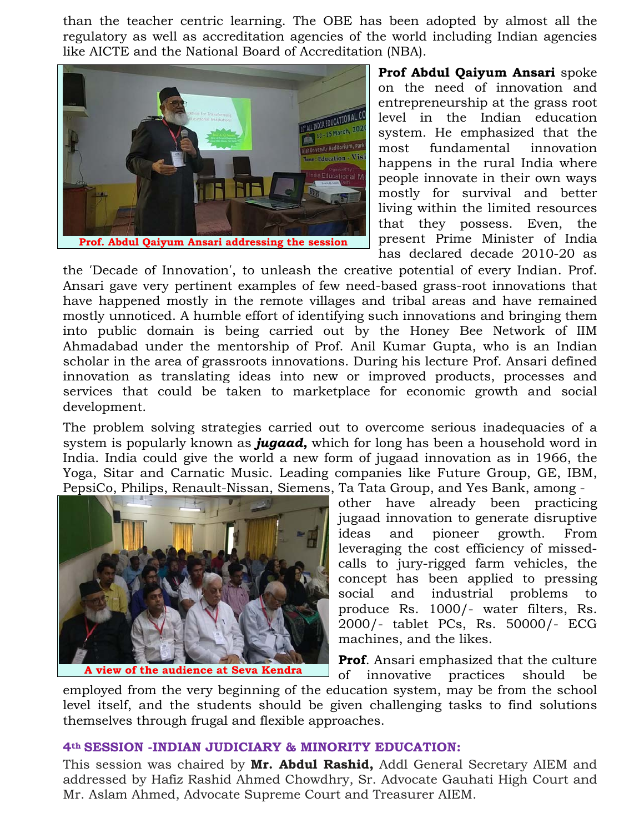than the teacher centric learning. The OBE has been adopted by almost all the regulatory as well as accreditation agencies of the world including Indian agencies like AICTE and the National Board of Accreditation (NBA).



**Prof Abdul Qaiyum Ansari** spoke on the need of innovation and entrepreneurship at the grass root level in the Indian education system. He emphasized that the most fundamental innovation happens in the rural India where people innovate in their own ways mostly for survival and better living within the limited resources that they possess. Even, the present Prime Minister of India has declared decade 2010-20 as

the 'Decade of Innovation', to unleash the creative potential of every Indian. Prof. Ansari gave very pertinent examples of few need-based grass-root innovations that have happened mostly in the remote villages and tribal areas and have remained mostly unnoticed. A humble effort of identifying such innovations and bringing them into public domain is being carried out by the Honey Bee Network of IIM Ahmadabad under the mentorship of Prof. Anil Kumar Gupta, who is an Indian scholar in the area of grassroots innovations. During his lecture Prof. Ansari defined innovation as translating ideas into new or improved products, processes and services that could be taken to marketplace for economic growth and social development.

The problem solving strategies carried out to overcome serious inadequacies of a system is popularly known as *jugaad***,** which for long has been a household word in India. India could give the world a new form of jugaad innovation as in 1966, the Yoga, Sitar and Carnatic Music. Leading companies like Future Group, GE, IBM, PepsiCo, Philips, Renault-Nissan, Siemens, Ta Tata Group, and Yes Bank, among -



**A view of the audience at Seva Kendra**

other have already been practicing jugaad innovation to generate disruptive ideas and pioneer growth. From leveraging the cost efficiency of missedcalls to jury-rigged farm vehicles, the concept has been applied to pressing social and industrial problems to produce Rs. 1000/- water filters, Rs. 2000/- tablet PCs, Rs. 50000/- ECG machines, and the likes.

**Prof**. Ansari emphasized that the culture of innovative practices should be

employed from the very beginning of the education system, may be from the school level itself, and the students should be given challenging tasks to find solutions themselves through frugal and flexible approaches.

#### **4th SESSION -INDIAN JUDICIARY & MINORITY EDUCATION:**

This session was chaired by **Mr. Abdul Rashid,** Addl General Secretary AIEM and addressed by Hafiz Rashid Ahmed Chowdhry, Sr. Advocate Gauhati High Court and Mr. Aslam Ahmed, Advocate Supreme Court and Treasurer AIEM.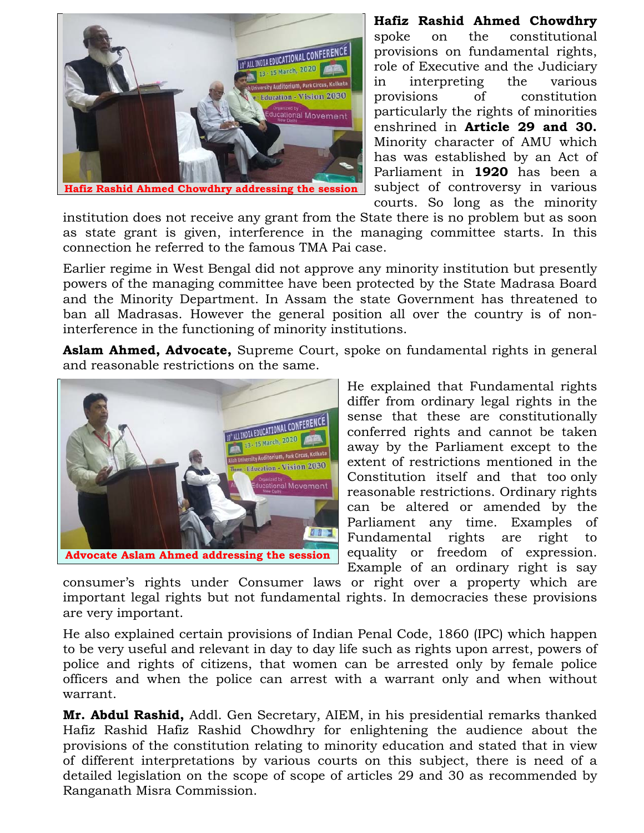

**Hafiz Rashid Ahmed Chowdhry**  spoke on the constitutional provisions on fundamental rights, role of Executive and the Judiciary in interpreting the various provisions of constitution particularly the rights of minorities enshrined in **Article 29 and 30.** Minority character of AMU which has was established by an Act of Parliament in **1920** has been a subject of controversy in various courts. So long as the minority

institution does not receive any grant from the State there is no problem but as soon as state grant is given, interference in the managing committee starts. In this connection he referred to the famous TMA Pai case.

Earlier regime in West Bengal did not approve any minority institution but presently powers of the managing committee have been protected by the State Madrasa Board and the Minority Department. In Assam the state Government has threatened to ban all Madrasas. However the general position all over the country is of noninterference in the functioning of minority institutions.

**Aslam Ahmed, Advocate,** Supreme Court, spoke on fundamental rights in general and reasonable restrictions on the same.



He explained that Fundamental rights differ from ordinary legal rights in the sense that these are constitutionally conferred rights and cannot be taken away by the Parliament except to the extent of restrictions mentioned in the Constitution itself and that too only reasonable restrictions. Ordinary rights can be altered or amended by the Parliament any time. Examples of Fundamental rights are right to equality or freedom of expression. Example of an ordinary right is say

consumer's rights under Consumer laws or right over a property which are important legal rights but not fundamental rights. In democracies these provisions are very important.

He also explained certain provisions of Indian Penal Code, 1860 (IPC) which happen to be very useful and relevant in day to day life such as rights upon arrest, powers of police and rights of citizens, that women can be arrested only by female police officers and when the police can arrest with a warrant only and when without warrant.

**Mr. Abdul Rashid,** Addl. Gen Secretary, AIEM, in his presidential remarks thanked Hafiz Rashid Hafiz Rashid Chowdhry for enlightening the audience about the provisions of the constitution relating to minority education and stated that in view of different interpretations by various courts on this subject, there is need of a detailed legislation on the scope of scope of articles 29 and 30 as recommended by Ranganath Misra Commission.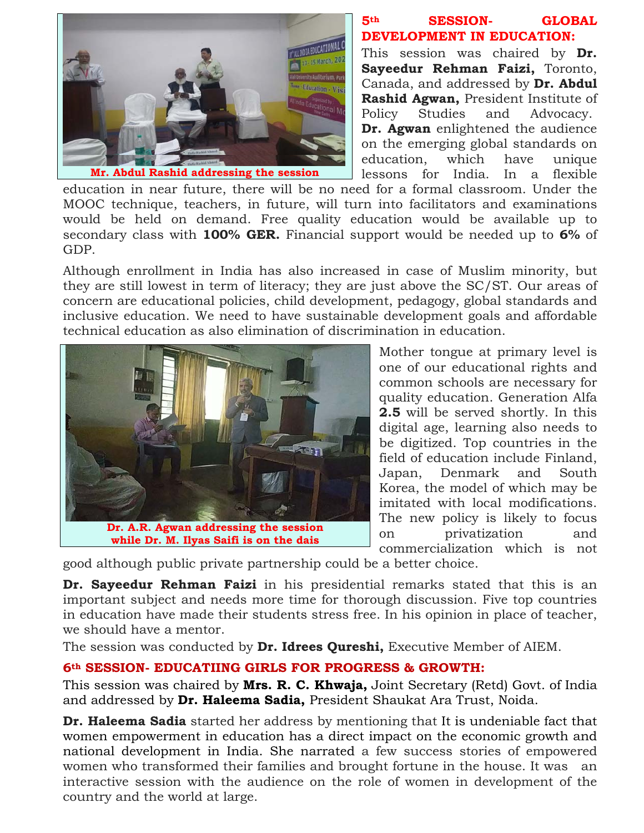

### **5th SESSION- GLOBAL DEVELOPMENT IN EDUCATION:**

This session was chaired by **Dr. Sayeedur Rehman Faizi,** Toronto, Canada, and addressed by **Dr. Abdul Rashid Agwan,** President Institute of Policy Studies and Advocacy. **Dr. Agwan** enlightened the audience on the emerging global standards on education, which have unique lessons for India. In a flexible

education in near future, there will be no need for a formal classroom. Under the MOOC technique, teachers, in future, will turn into facilitators and examinations would be held on demand. Free quality education would be available up to secondary class with **100% GER.** Financial support would be needed up to **6%** of GDP.

Although enrollment in India has also increased in case of Muslim minority, but they are still lowest in term of literacy; they are just above the SC/ST. Our areas of concern are educational policies, child development, pedagogy, global standards and inclusive education. We need to have sustainable development goals and affordable technical education as also elimination of discrimination in education.



**while Dr. M. Ilyas Saifi is on the dais**

Mother tongue at primary level is one of our educational rights and common schools are necessary for quality education. Generation Alfa **2.5** will be served shortly. In this digital age, learning also needs to be digitized. Top countries in the field of education include Finland, Japan, Denmark and South Korea, the model of which may be imitated with local modifications. The new policy is likely to focus on privatization and commercialization which is not

good although public private partnership could be a better choice.

**Dr. Sayeedur Rehman Faizi** in his presidential remarks stated that this is an important subject and needs more time for thorough discussion. Five top countries in education have made their students stress free. In his opinion in place of teacher, we should have a mentor.

The session was conducted by **Dr. Idrees Qureshi,** Executive Member of AIEM.

# **6th SESSION- EDUCATIING GIRLS FOR PROGRESS & GROWTH:**

This session was chaired by **Mrs. R. C. Khwaja,** Joint Secretary (Retd) Govt. of India and addressed by **Dr. Haleema Sadia,** President Shaukat Ara Trust, Noida.

**Dr. Haleema Sadia** started her address by mentioning that It is undeniable fact that women empowerment in education has a direct impact on the economic growth and national development in India. She narrated a few success stories of empowered women who transformed their families and brought fortune in the house. It was an interactive session with the audience on the role of women in development of the country and the world at large.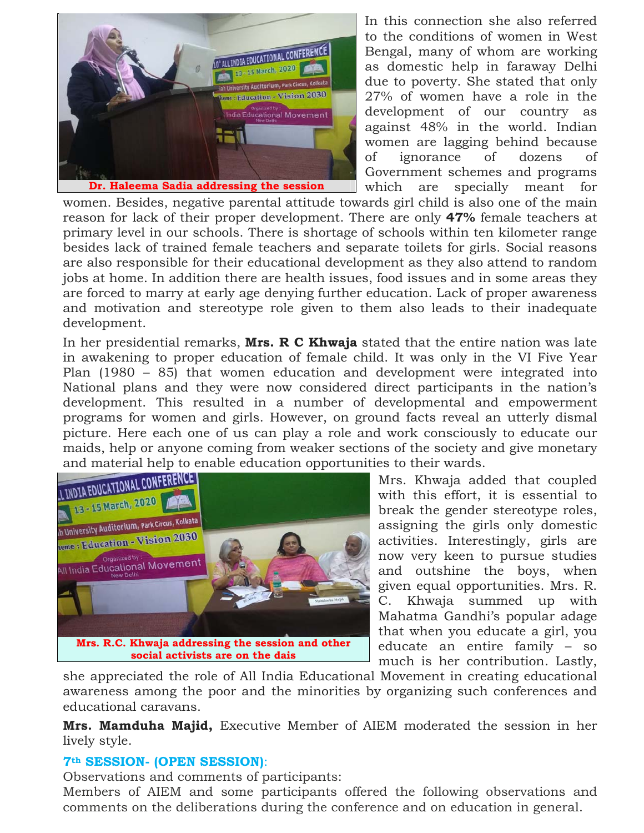

In this connection she also referred to the conditions of women in West Bengal, many of whom are working as domestic help in faraway Delhi due to poverty. She stated that only 27% of women have a role in the development of our country as against 48% in the world. Indian women are lagging behind because of ignorance of dozens of Government schemes and programs which are specially meant for

women. Besides, negative parental attitude towards girl child is also one of the main reason for lack of their proper development. There are only **47%** female teachers at primary level in our schools. There is shortage of schools within ten kilometer range besides lack of trained female teachers and separate toilets for girls. Social reasons are also responsible for their educational development as they also attend to random jobs at home. In addition there are health issues, food issues and in some areas they are forced to marry at early age denying further education. Lack of proper awareness and motivation and stereotype role given to them also leads to their inadequate development.

In her presidential remarks, **Mrs. R C Khwaja** stated that the entire nation was late in awakening to proper education of female child. It was only in the VI Five Year Plan (1980 – 85) that women education and development were integrated into National plans and they were now considered direct participants in the nation's development. This resulted in a number of developmental and empowerment programs for women and girls. However, on ground facts reveal an utterly dismal picture. Here each one of us can play a role and work consciously to educate our maids, help or anyone coming from weaker sections of the society and give monetary



Mrs. Khwaja added that coupled with this effort, it is essential to break the gender stereotype roles, assigning the girls only domestic activities. Interestingly, girls are now very keen to pursue studies and outshine the boys, when given equal opportunities. Mrs. R. C. Khwaja summed up with Mahatma Gandhi's popular adage that when you educate a girl, you educate an entire family – so much is her contribution. Lastly,

she appreciated the role of All India Educational Movement in creating educational awareness among the poor and the minorities by organizing such conferences and educational caravans.

**Mrs. Mamduha Majid,** Executive Member of AIEM moderated the session in her lively style.

### **7th SESSION- (OPEN SESSION)**:

Observations and comments of participants:

Members of AIEM and some participants offered the following observations and comments on the deliberations during the conference and on education in general.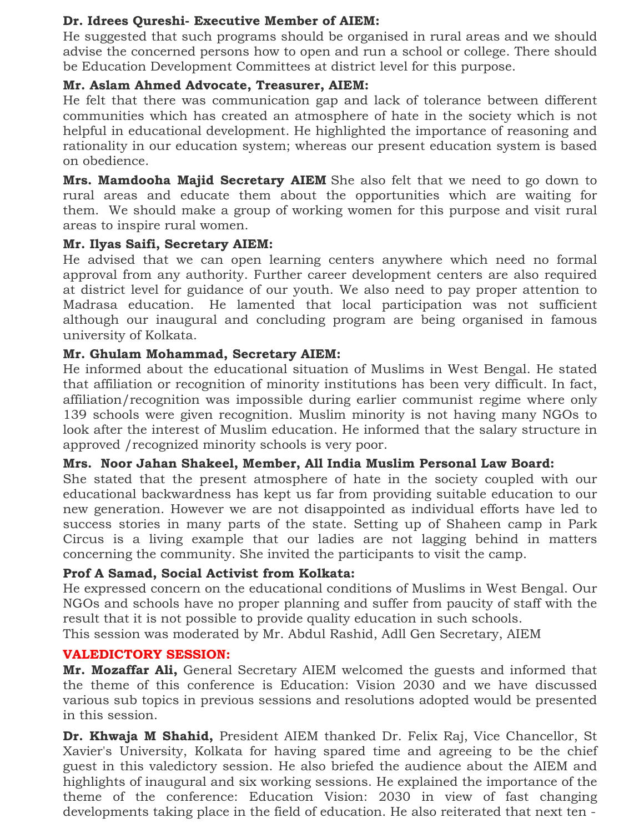## **Dr. Idrees Qureshi- Executive Member of AIEM:**

He suggested that such programs should be organised in rural areas and we should advise the concerned persons how to open and run a school or college. There should be Education Development Committees at district level for this purpose.

## **Mr. Aslam Ahmed Advocate, Treasurer, AIEM:**

He felt that there was communication gap and lack of tolerance between different communities which has created an atmosphere of hate in the society which is not helpful in educational development. He highlighted the importance of reasoning and rationality in our education system; whereas our present education system is based on obedience.

**Mrs. Mamdooha Majid Secretary AIEM** She also felt that we need to go down to rural areas and educate them about the opportunities which are waiting for them. We should make a group of working women for this purpose and visit rural areas to inspire rural women.

### **Mr. Ilyas Saifi, Secretary AIEM:**

He advised that we can open learning centers anywhere which need no formal approval from any authority. Further career development centers are also required at district level for guidance of our youth. We also need to pay proper attention to Madrasa education. He lamented that local participation was not sufficient although our inaugural and concluding program are being organised in famous university of Kolkata.

### **Mr. Ghulam Mohammad, Secretary AIEM:**

He informed about the educational situation of Muslims in West Bengal. He stated that affiliation or recognition of minority institutions has been very difficult. In fact, affiliation/recognition was impossible during earlier communist regime where only 139 schools were given recognition. Muslim minority is not having many NGOs to look after the interest of Muslim education. He informed that the salary structure in approved /recognized minority schools is very poor.

### **Mrs. Noor Jahan Shakeel, Member, All India Muslim Personal Law Board:**

She stated that the present atmosphere of hate in the society coupled with our educational backwardness has kept us far from providing suitable education to our new generation. However we are not disappointed as individual efforts have led to success stories in many parts of the state. Setting up of Shaheen camp in Park Circus is a living example that our ladies are not lagging behind in matters concerning the community. She invited the participants to visit the camp.

## **Prof A Samad, Social Activist from Kolkata:**

He expressed concern on the educational conditions of Muslims in West Bengal. Our NGOs and schools have no proper planning and suffer from paucity of staff with the result that it is not possible to provide quality education in such schools.

This session was moderated by Mr. Abdul Rashid, Adll Gen Secretary, AIEM

### **VALEDICTORY SESSION:**

**Mr. Mozaffar Ali,** General Secretary AIEM welcomed the guests and informed that the theme of this conference is Education: Vision 2030 and we have discussed various sub topics in previous sessions and resolutions adopted would be presented in this session.

**Dr. Khwaja M Shahid,** President AIEM thanked Dr. Felix Raj, Vice Chancellor, St Xavier's University, Kolkata for having spared time and agreeing to be the chief guest in this valedictory session. He also briefed the audience about the AIEM and highlights of inaugural and six working sessions. He explained the importance of the theme of the conference: Education Vision: 2030 in view of fast changing developments taking place in the field of education. He also reiterated that next ten -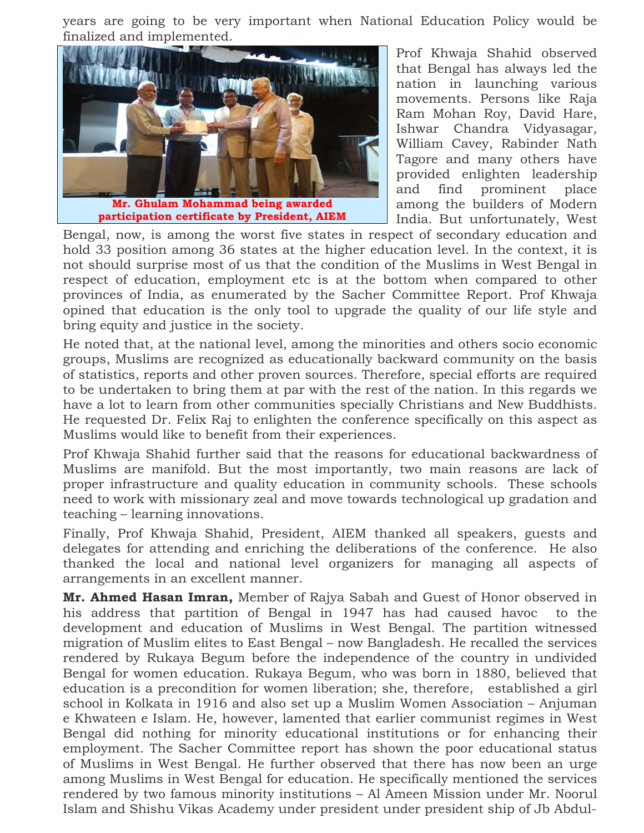years are going to be very important when National Education Policy would be finalized and implemented.



Prof Khwaja Shahid observed that Bengal has always led the nation in launching various movements. Persons like Raja Ram Mohan Roy, David Hare, Ishwar Chandra Vidyasagar, William Cavey, Rabinder Nath Tagore and many others have provided enlighten leadership and find prominent place among the builders of Modern India. But unfortunately, West

Bengal, now, is among the worst five states in respect of secondary education and hold 33 position among 36 states at the higher education level. In the context, it is not should surprise most of us that the condition of the Muslims in West Bengal in respect of education, employment etc is at the bottom when compared to other provinces of India, as enumerated by the Sacher Committee Report. Prof Khwaja opined that education is the only tool to upgrade the quality of our life style and bring equity and justice in the society.

He noted that, at the national level, among the minorities and others socio economic groups, Muslims are recognized as educationally backward community on the basis of statistics, reports and other proven sources. Therefore, special efforts are required to be undertaken to bring them at par with the rest of the nation. In this regards we have a lot to learn from other communities specially Christians and New Buddhists. He requested Dr. Felix Raj to enlighten the conference specifically on this aspect as Muslims would like to benefit from their experiences.

Prof Khwaja Shahid further said that the reasons for educational backwardness of Muslims are manifold. But the most importantly, two main reasons are lack of proper infrastructure and quality education in community schools. These schools need to work with missionary zeal and move towards technological up gradation and teaching – learning innovations.

Finally, Prof Khwaja Shahid, President, AIEM thanked all speakers, guests and delegates for attending and enriching the deliberations of the conference. He also thanked the local and national level organizers for managing all aspects of arrangements in an excellent manner.

**Mr. Ahmed Hasan Imran,** Member of Rajya Sabah and Guest of Honor observed in his address that partition of Bengal in 1947 has had caused havoc to the development and education of Muslims in West Bengal. The partition witnessed migration of Muslim elites to East Bengal – now Bangladesh. He recalled the services rendered by Rukaya Begum before the independence of the country in undivided Bengal for women education. Rukaya Begum, who was born in 1880, believed that education is a precondition for women liberation; she, therefore, established a girl school in Kolkata in 1916 and also set up a Muslim Women Association – Anjuman e Khwateen e Islam. He, however, lamented that earlier communist regimes in West Bengal did nothing for minority educational institutions or for enhancing their employment. The Sacher Committee report has shown the poor educational status of Muslims in West Bengal. He further observed that there has now been an urge among Muslims in West Bengal for education. He specifically mentioned the services rendered by two famous minority institutions – Al Ameen Mission under Mr. Noorul Islam and Shishu Vikas Academy under president under president ship of Jb Abdul-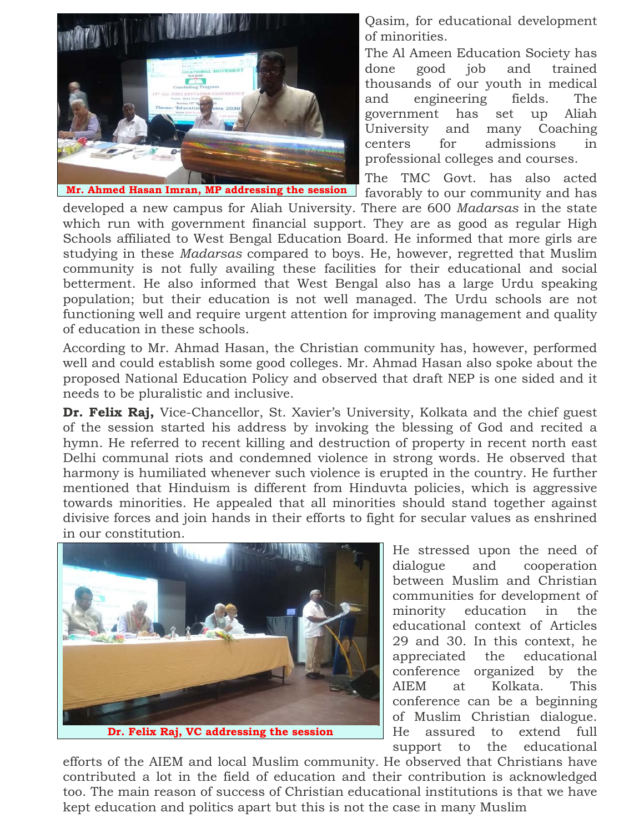

Qasim, for educational development of minorities.

The Al Ameen Education Society has done good job and trained thousands of our youth in medical and engineering fields. The government has set up Aliah University and many Coaching centers for admissions in professional colleges and courses.

The TMC Govt. has also acted

developed a new campus for Aliah University. There are 600 *Madarsas* in the state which run with government financial support. They are as good as regular High Schools affiliated to West Bengal Education Board. He informed that more girls are studying in these *Madarsas* compared to boys. He, however, regretted that Muslim community is not fully availing these facilities for their educational and social betterment. He also informed that West Bengal also has a large Urdu speaking population; but their education is not well managed. The Urdu schools are not functioning well and require urgent attention for improving management and quality of education in these schools.

According to Mr. Ahmad Hasan, the Christian community has, however, performed well and could establish some good colleges. Mr. Ahmad Hasan also spoke about the proposed National Education Policy and observed that draft NEP is one sided and it needs to be pluralistic and inclusive.

**Dr. Felix Raj,** Vice-Chancellor, St. Xavier's University, Kolkata and the chief guest of the session started his address by invoking the blessing of God and recited a hymn. He referred to recent killing and destruction of property in recent north east Delhi communal riots and condemned violence in strong words. He observed that harmony is humiliated whenever such violence is erupted in the country. He further mentioned that Hinduism is different from Hinduvta policies, which is aggressive towards minorities. He appealed that all minorities should stand together against divisive forces and join hands in their efforts to fight for secular values as enshrined in our constitution.



He stressed upon the need of dialogue and cooperation between Muslim and Christian communities for development of minority education in the educational context of Articles 29 and 30. In this context, he appreciated the educational conference organized by the AIEM at Kolkata. This conference can be a beginning of Muslim Christian dialogue. He assured to extend full support to the educational

efforts of the AIEM and local Muslim community. He observed that Christians have contributed a lot in the field of education and their contribution is acknowledged too. The main reason of success of Christian educational institutions is that we have kept education and politics apart but this is not the case in many Muslim